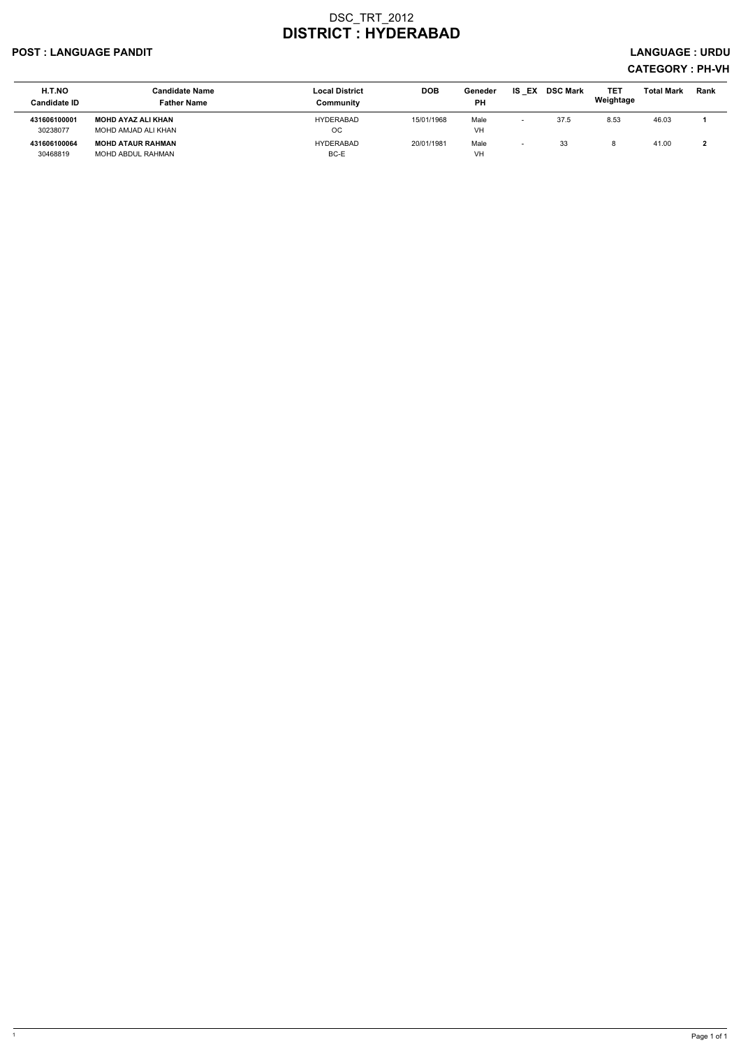#### POST : LANGUAGE PANDIT LANGUAGE : URDU

| <b>H.T.NO</b><br><b>Candidate ID</b> | <b>Candidate Name</b><br><b>Father Name</b> | <b>Local District</b><br>Community | <b>DOB</b> | Geneder<br><b>PH</b> | EX<br>IS | <b>DSC Mark</b> | <b>TET</b><br>Weightage | <b>Total Mark</b> | <b>Rank</b> |
|--------------------------------------|---------------------------------------------|------------------------------------|------------|----------------------|----------|-----------------|-------------------------|-------------------|-------------|
| 431606100001                         | MOHD AYAZ ALI KHAN                          | <b>HYDERABAD</b>                   | 15/01/1968 | Male                 |          | 37.5            | 8.53                    | 46.03             |             |
| 30238077                             | MOHD AMJAD ALI KHAN                         | <sub>OC</sub>                      |            | VH                   |          |                 |                         |                   |             |
| 431606100064                         | <b>MOHD ATAUR RAHMAN</b>                    | HYDERABAD                          | 20/01/1981 | Male                 |          | 33              |                         | 41.00             |             |
| 30468819                             | MOHD ABDUL RAHMAN                           | BC-E                               |            | VH                   |          |                 |                         |                   |             |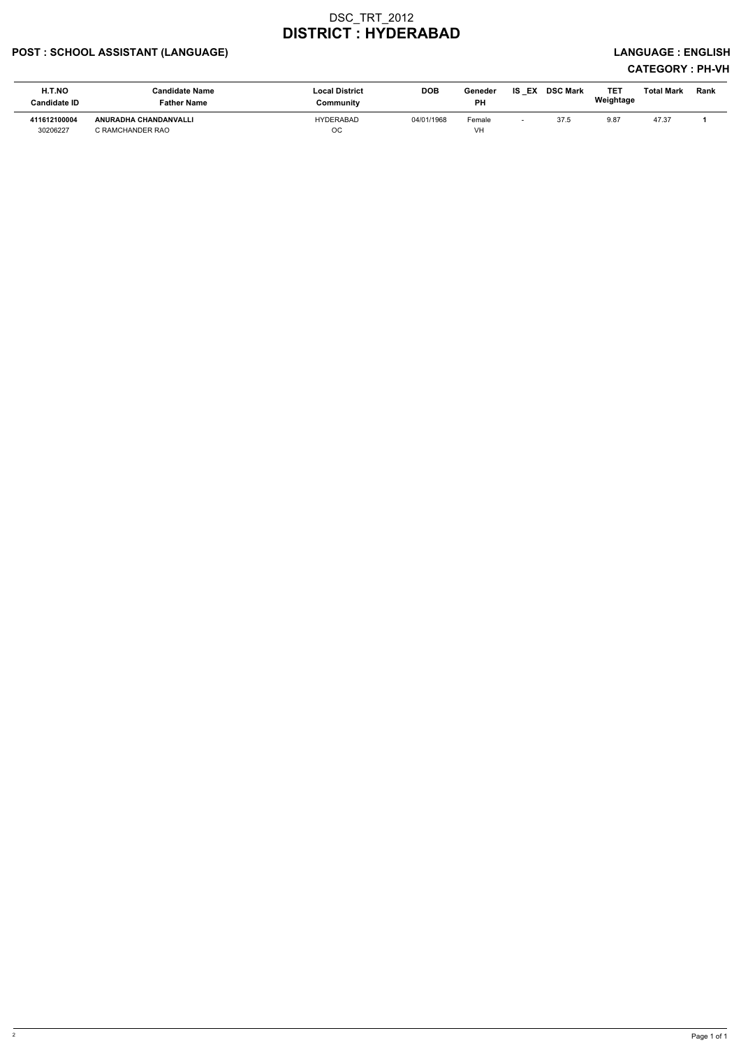### POST : SCHOOL ASSISTANT (LANGUAGE) And the state of the state of the state of the state of the state of the state of the state of the state of the state of the state of the state of the state of the state of the state of t

| H.T.NO<br>Candidate ID   | Candidate Name<br>Father Name                    | <b>Local District</b><br>Community | <b>DOB</b> | Geneder<br><b>PH</b> | IS<br>EX | <b>DSC Mark</b> | <b>TET</b><br>Weightage | Total Mark | Rank |
|--------------------------|--------------------------------------------------|------------------------------------|------------|----------------------|----------|-----------------|-------------------------|------------|------|
| 411612100004<br>30206227 | <b>ANURADHA CHANDANVALLI</b><br>C RAMCHANDER RAO | <b>HYDERABAD</b><br>OС             | 04/01/1968 | Female<br>VH         |          | 37.5            | 9.87                    | 47.37      |      |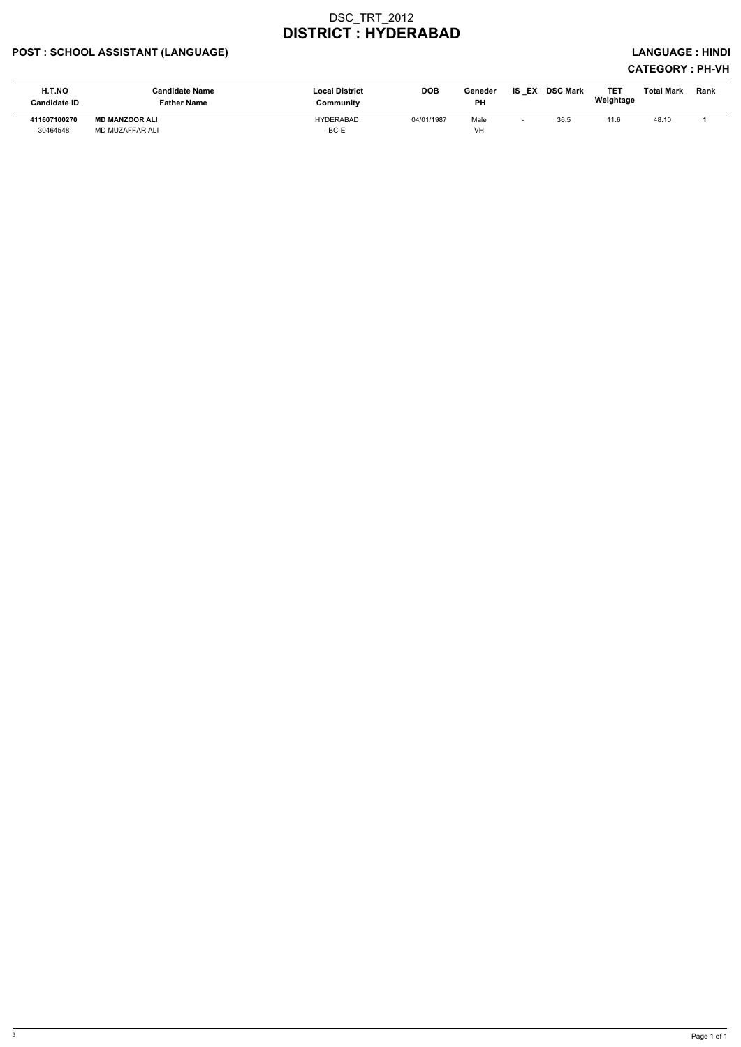### POST : SCHOOL ASSISTANT (LANGUAGE) And the set of the set of the set of the set of the set of the set of the set of the set of the set of the set of the set of the set of the set of the set of the set of the set of the set

| H.T.NO<br>Candidate ID   | <b>Candidate Name</b><br>Father Name     | <b>Local District</b><br>Communitv | <b>DOB</b> | Geneder<br><b>PH</b> | IS<br>EX | <b>DSC Mark</b> | <b>TET</b><br>Weightage | Total Mark | Rank |
|--------------------------|------------------------------------------|------------------------------------|------------|----------------------|----------|-----------------|-------------------------|------------|------|
| 411607100270<br>30464548 | <b>MD MANZOOR ALI</b><br>MD MUZAFFAR ALI | <b>HYDERABAD</b><br>BC-E           | 04/01/1987 | Male<br>VH           |          | 36.5            | 11.6                    | 48.10      |      |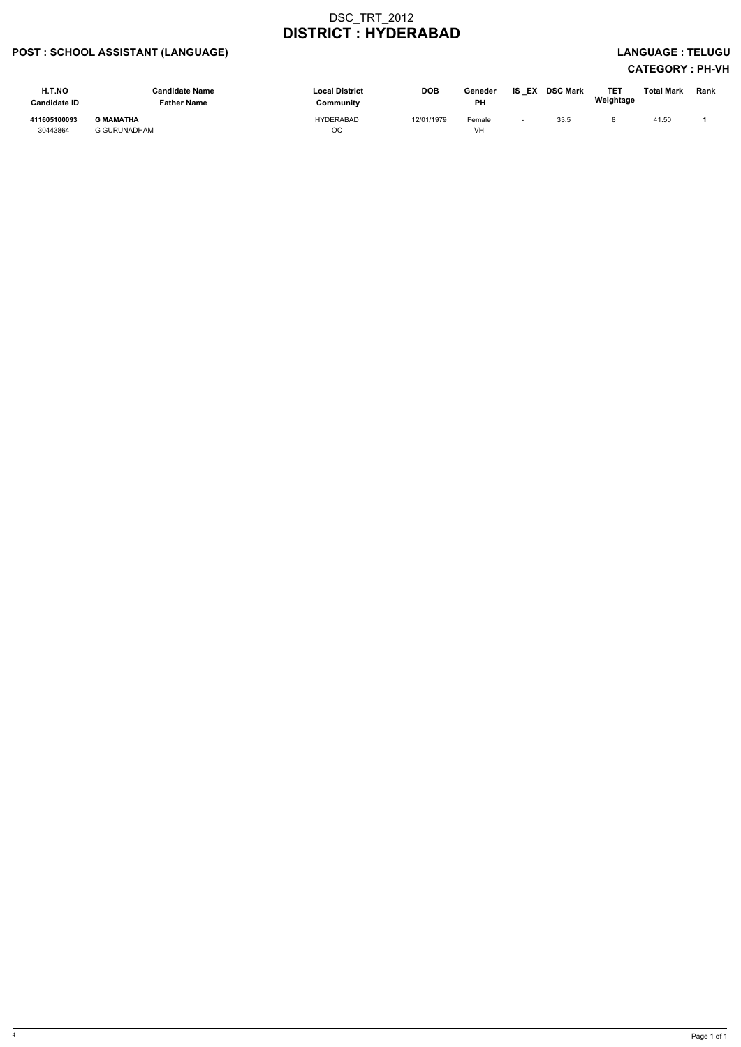### POST : SCHOOL ASSISTANT (LANGUAGE) LANGUAGE : TELUGU

| H.T.NO<br><b>Candidate ID</b> | <b>Candidate Name</b><br><b>Father Name</b> | <b>Local District</b><br>Community | DOB        | Geneder<br>PH | IS<br>EX                 | <b>DSC Mark</b> | TET<br>Weightage | <b>Total Mark</b> | Rank |
|-------------------------------|---------------------------------------------|------------------------------------|------------|---------------|--------------------------|-----------------|------------------|-------------------|------|
| 411605100093<br>30443864      | <b>G MAMATHA</b><br><b>G GURUNADHAM</b>     | <b>HYDERABAD</b><br>OC             | 12/01/1979 | Female<br>VH  | $\overline{\phantom{0}}$ | 33.5            |                  | 41.50             |      |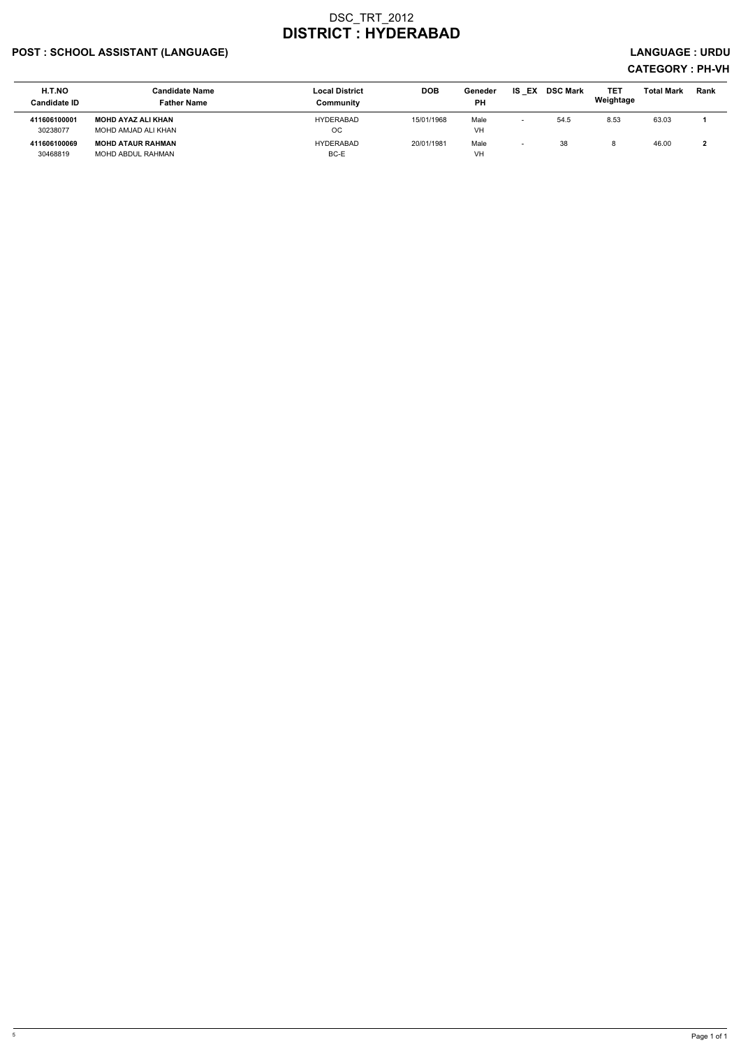### POST : SCHOOL ASSISTANT (LANGUAGE) And the set of the set of the set of the set of the set of the set of the set of the set of the set of the set of the set of the set of the set of the set of the set of the set of the set

| H.T.NO<br><b>Candidate ID</b> | Candidate Name<br><b>Father Name</b> | <b>Local District</b><br>Community | <b>DOB</b> | Geneder<br>PH | <b>IS EX</b> | <b>DSC Mark</b> | TE1<br>Weightage | <b>Total Mark</b> | Rank |
|-------------------------------|--------------------------------------|------------------------------------|------------|---------------|--------------|-----------------|------------------|-------------------|------|
| 411606100001                  | <b>MOHD AYAZ ALI KHAN</b>            | <b>HYDERABAD</b>                   | 15/01/1968 | Male          |              | 54.5            | 8.53             | 63.03             |      |
| 30238077                      | MOHD AMJAD ALI KHAN                  | ОC                                 |            | VH            |              |                 |                  |                   |      |
| 411606100069                  | <b>MOHD ATAUR RAHMAN</b>             | <b>HYDERABAD</b>                   | 20/01/1981 | Male          |              | 38              |                  | 46.00             |      |
| 30468819                      | MOHD ABDUL RAHMAN                    | BC-E                               |            | VH            |              |                 |                  |                   |      |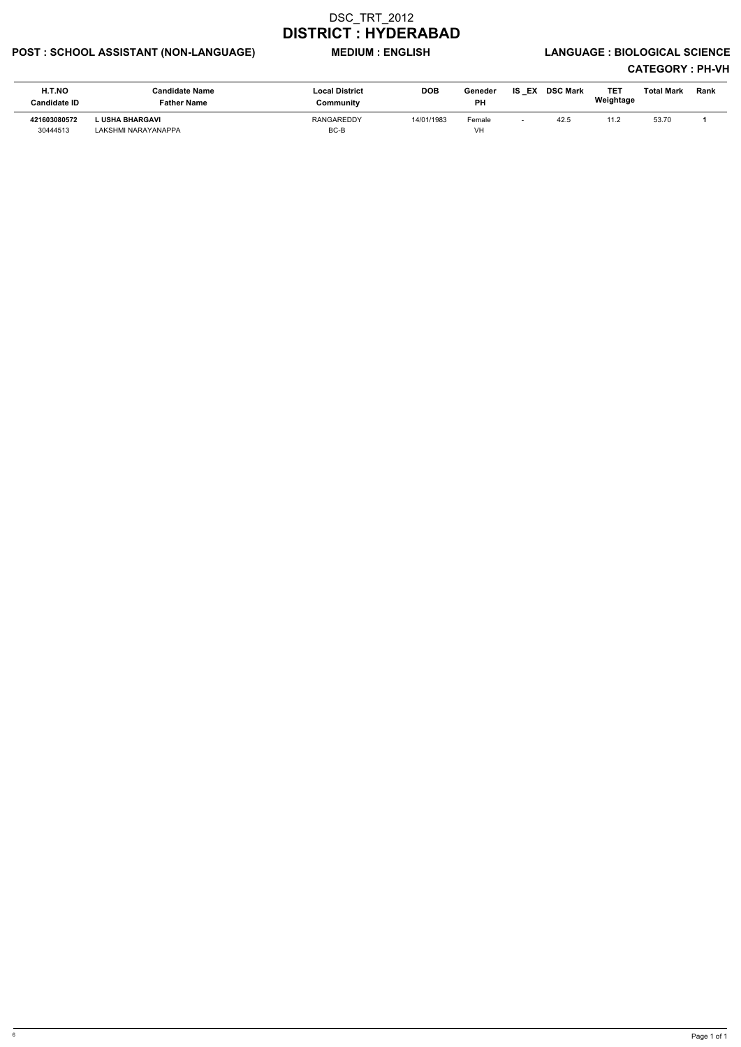### POST : SCHOOL ASSISTANT (NON-LANGUAGE) MEDIUM : ENGLISH LANGUAGE : BIOLOGICAL SCIENCE

| <b>H.T.NO</b><br><b>Candidate ID</b> | Candidate Name<br>Father Name          | <b>Local District</b><br>Community | <b>DOB</b> | Geneder<br><b>PH</b> | <b>IS EX</b> | <b>DSC Mark</b> | TE1<br>Weightage | Total Mark | Rank |
|--------------------------------------|----------------------------------------|------------------------------------|------------|----------------------|--------------|-----------------|------------------|------------|------|
| 421603080572<br>30444513             | L USHA BHARGAVI<br>LAKSHMI NARAYANAPPA | <b>RANGAREDDY</b><br>BC-B          | 14/01/1983 | Female<br>VH         |              | 42.5            | 11.2             | 53.70      |      |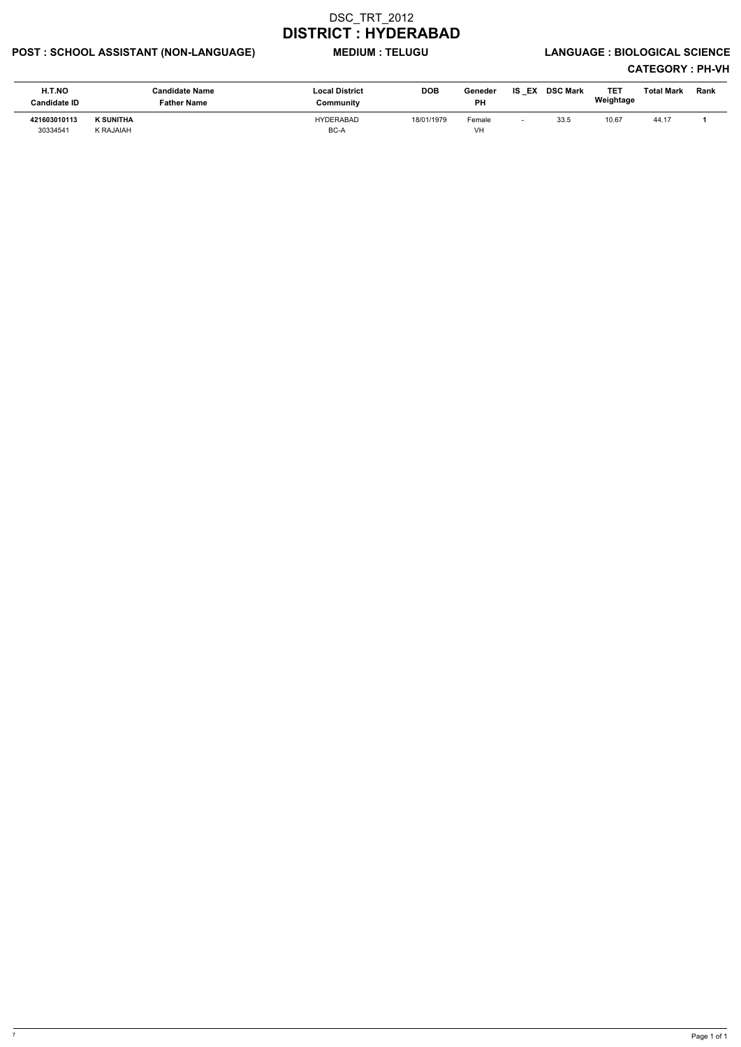### POST : SCHOOL ASSISTANT (NON-LANGUAGE) MEDIUM : TELUGU LANGUAGE : BIOLOGICAL SCIENCE

| <b>H.T.NO</b><br><b>Candidate ID</b> | Candidate Name<br><b>Father Name</b> | <b>Local District</b><br>Community | <b>DOB</b> | Geneder<br><b>PH</b> | IS<br>EX | <b>DSC Mark</b> | TE)<br>Weightage | <b>Total Mark</b> | Rank |
|--------------------------------------|--------------------------------------|------------------------------------|------------|----------------------|----------|-----------------|------------------|-------------------|------|
| 421603010113<br>30334541             | K SUNITHA<br><b>K RAJAIAH</b>        | <b>HYDERABAD</b><br>BC-A           | 18/01/1979 | Female<br>VH         |          | 33.5            | 10.67            | 44.17             |      |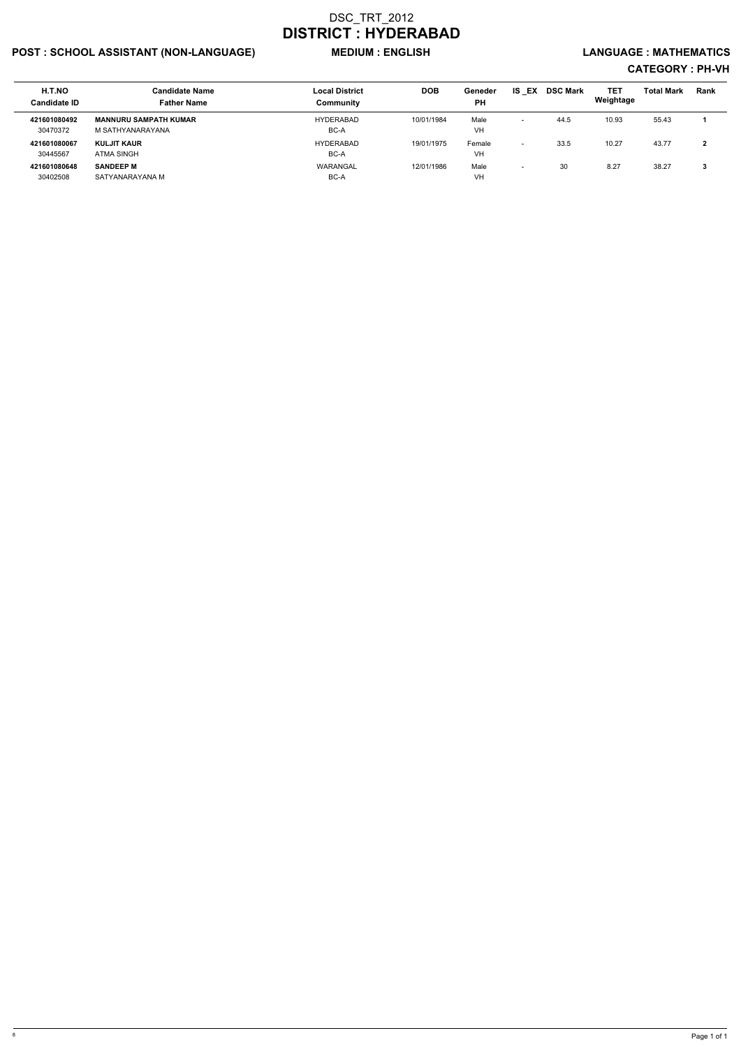### POST : SCHOOL ASSISTANT (NON-LANGUAGE) MEDIUM : ENGLISH LANGUAGE : MATHEMATICS

| H.T.NO<br><b>Candidate ID</b> | <b>Candidate Name</b><br><b>Father Name</b>      | <b>Local District</b><br>Community | <b>DOB</b> | Geneder<br><b>PH</b> | IS<br>EX                 | <b>DSC Mark</b> | TET<br>Weightage | <b>Total Mark</b> | <b>Rank</b> |
|-------------------------------|--------------------------------------------------|------------------------------------|------------|----------------------|--------------------------|-----------------|------------------|-------------------|-------------|
| 421601080492<br>30470372      | <b>MANNURU SAMPATH KUMAR</b><br>M SATHYANARAYANA | <b>HYDERABAD</b><br>BC-A           | 10/01/1984 | Male<br>VH           | $\overline{\phantom{0}}$ | 44.5            | 10.93            | 55.43             |             |
| 421601080067<br>30445567      | KULJIT KAUR<br>ATMA SINGH                        | <b>HYDERABAD</b><br>BC-A           | 19/01/1975 | Female<br>VH         | $\overline{\phantom{0}}$ | 33.5            | 10.27            | 43.77             | 2           |
| 421601080648<br>30402508      | <b>SANDEEP M</b><br>SATYANARAYANA M              | WARANGAL<br>BC-A                   | 12/01/1986 | Male<br>VH           | $\overline{\phantom{0}}$ | 30              | 8.27             | 38.27             | 3           |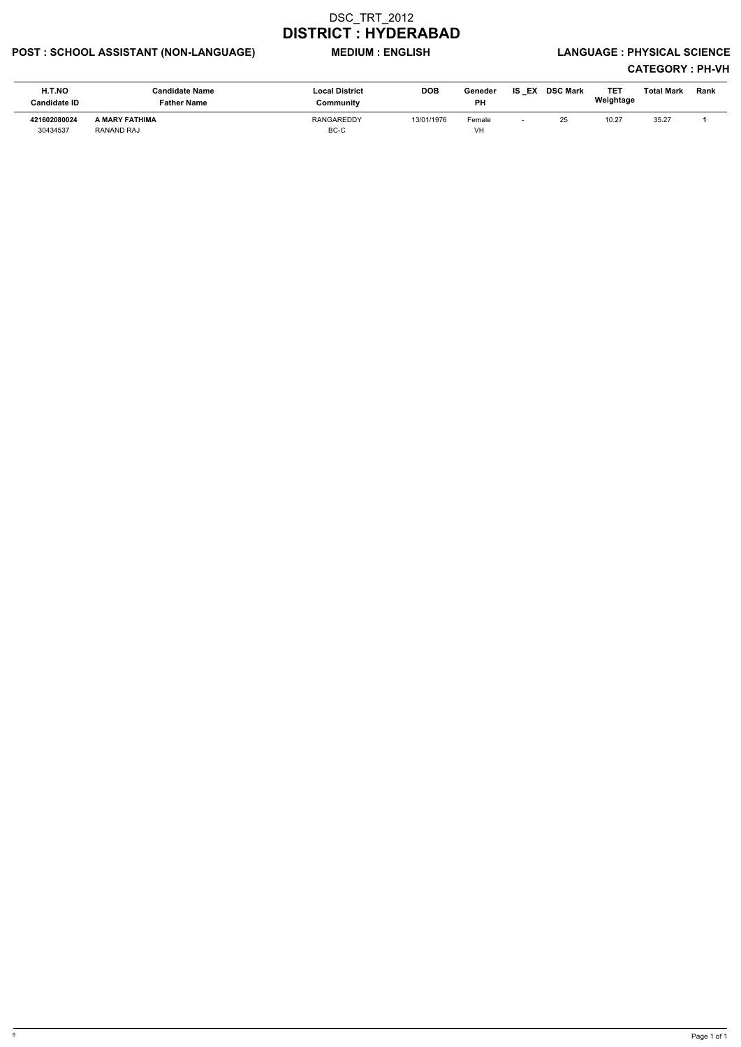### POST : SCHOOL ASSISTANT (NON-LANGUAGE) WEDIUM : ENGLISH LANGUAGE : PHYSICAL SCIENCE

| H.T.NO<br><b>Candidate ID</b> | Candidate Name<br>Father Name | <b>Local District</b><br>Community | <b>DOB</b> | Geneder<br><b>PH</b> | <b>IS EX</b> | <b>DSC Mark</b> | TET<br>Weightage | Total Mark | <b>Rank</b> |
|-------------------------------|-------------------------------|------------------------------------|------------|----------------------|--------------|-----------------|------------------|------------|-------------|
| 421602080024<br>30434537      | A MARY FATHIMA<br>RANAND RAJ  | <b>RANGAREDDY</b><br>BC-C          | 13/01/1976 | Female<br><b>VH</b>  |              | 25              | 10.27            | 35.27      |             |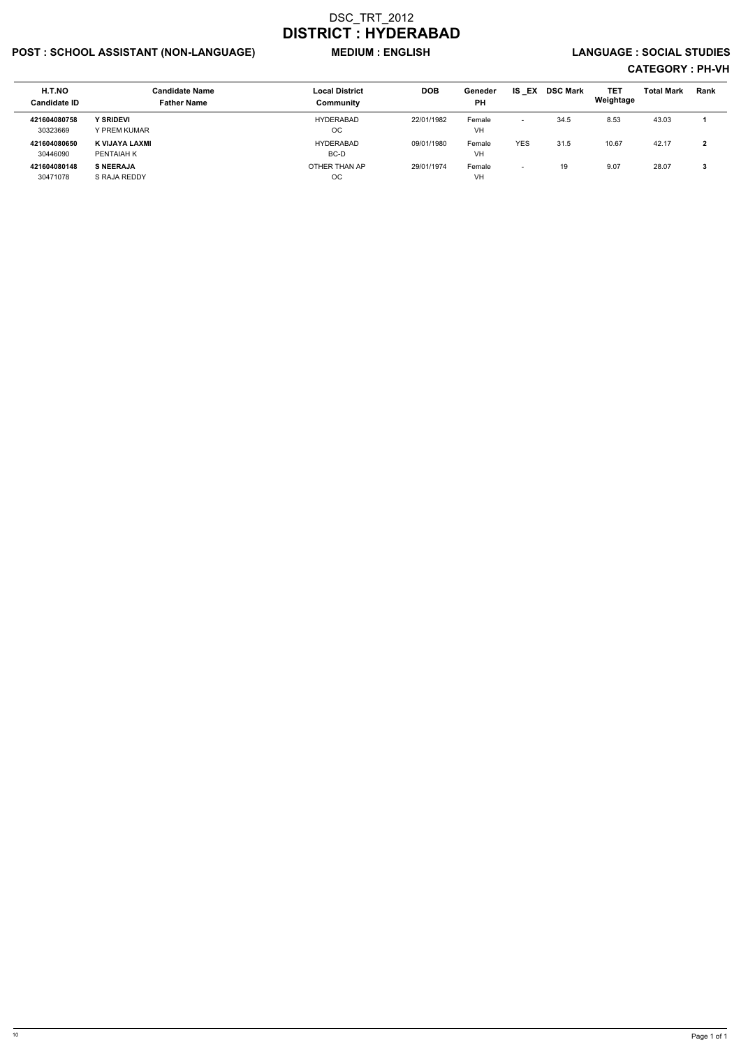### POST : SCHOOL ASSISTANT (NON-LANGUAGE) MEDIUM : ENGLISH LANGUAGE : SOCIAL STUDIES

| <b>H.T.NO</b><br><b>Candidate ID</b> | <b>Candidate Name</b><br><b>Father Name</b> | <b>Local District</b><br>Community | <b>DOB</b> | Geneder<br><b>PH</b> | IS.<br>EX                | <b>DSC Mark</b> | TET<br>Weightage | <b>Total Mark</b> | Rank |
|--------------------------------------|---------------------------------------------|------------------------------------|------------|----------------------|--------------------------|-----------------|------------------|-------------------|------|
| 421604080758<br>30323669             | <b>Y SRIDEVI</b><br>Y PREM KUMAR            | HYDERABAD<br>ОC                    | 22/01/1982 | Female<br><b>VH</b>  | -                        | 34.5            | 8.53             | 43.03             |      |
| 421604080650<br>30446090             | K VIJAYA LAXMI<br>PENTAIAH K                | HYDERABAD<br>BC-D                  | 09/01/1980 | Female<br><b>VH</b>  | <b>YES</b>               | 31.5            | 10.67            | 42.17             | າ    |
| 421604080148<br>30471078             | <b>S NEERAJA</b><br>S RAJA REDDY            | OTHER THAN AP<br>ОC                | 29/01/1974 | Female<br><b>VH</b>  | $\overline{\phantom{0}}$ | 19              | 9.07             | 28.07             | 3    |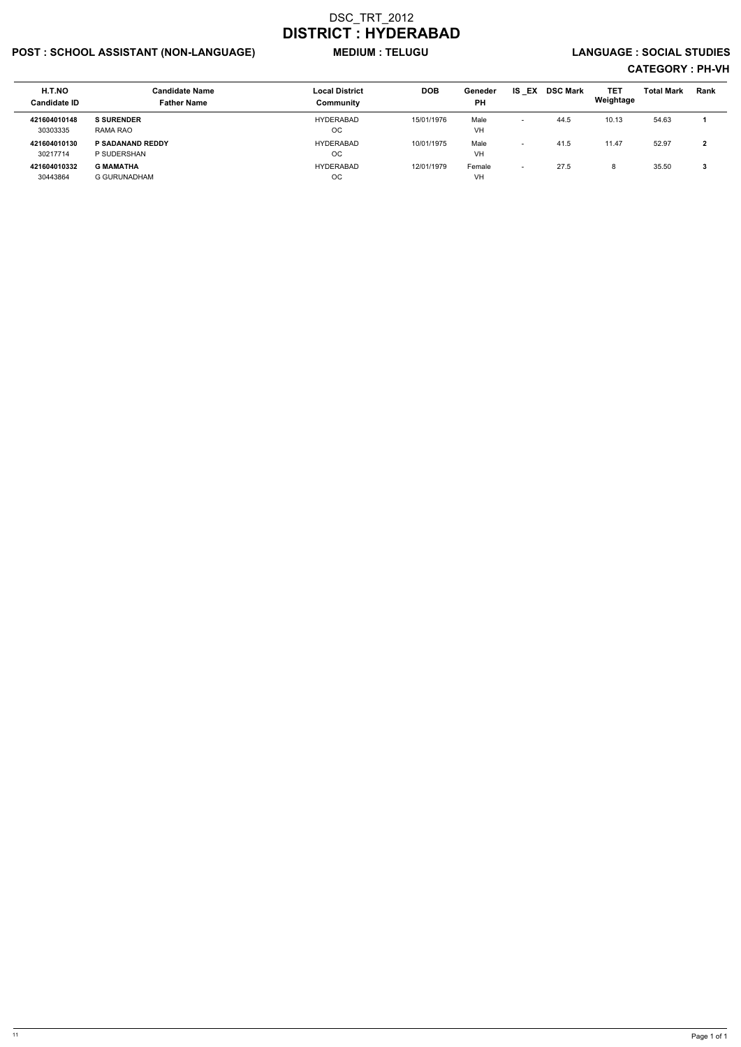### POST : SCHOOL ASSISTANT (NON-LANGUAGE) MEDIUM : TELUGU LANGUAGE : SOCIAL STUDIES

| <b>H.T.NO</b><br><b>Candidate ID</b> | <b>Candidate Name</b><br><b>Father Name</b> | <b>Local District</b><br>Community | <b>DOB</b> | Geneder<br><b>PH</b> | EX<br>IS.                | <b>DSC Mark</b> | TET<br>Weightage | <b>Total Mark</b> | <b>Rank</b> |
|--------------------------------------|---------------------------------------------|------------------------------------|------------|----------------------|--------------------------|-----------------|------------------|-------------------|-------------|
| 421604010148<br>30303335             | <b>S SURENDER</b><br>RAMA RAO               | <b>HYDERABAD</b><br>OС             | 15/01/1976 | Male<br><b>VH</b>    |                          | 44.5            | 10.13            | 54.63             |             |
| 421604010130<br>30217714             | <b>P SADANAND REDDY</b><br>P SUDERSHAN      | <b>HYDERABAD</b><br>OС             | 10/01/1975 | Male<br>VH           | $\overline{\phantom{0}}$ | 41.5            | 11.47            | 52.97             |             |
| 421604010332<br>30443864             | <b>G MAMATHA</b><br>G GURUNADHAM            | <b>HYDERABAD</b><br>OС             | 12/01/1979 | Female<br><b>VH</b>  | $\overline{\phantom{0}}$ | 27.5            | 8                | 35.50             | 3           |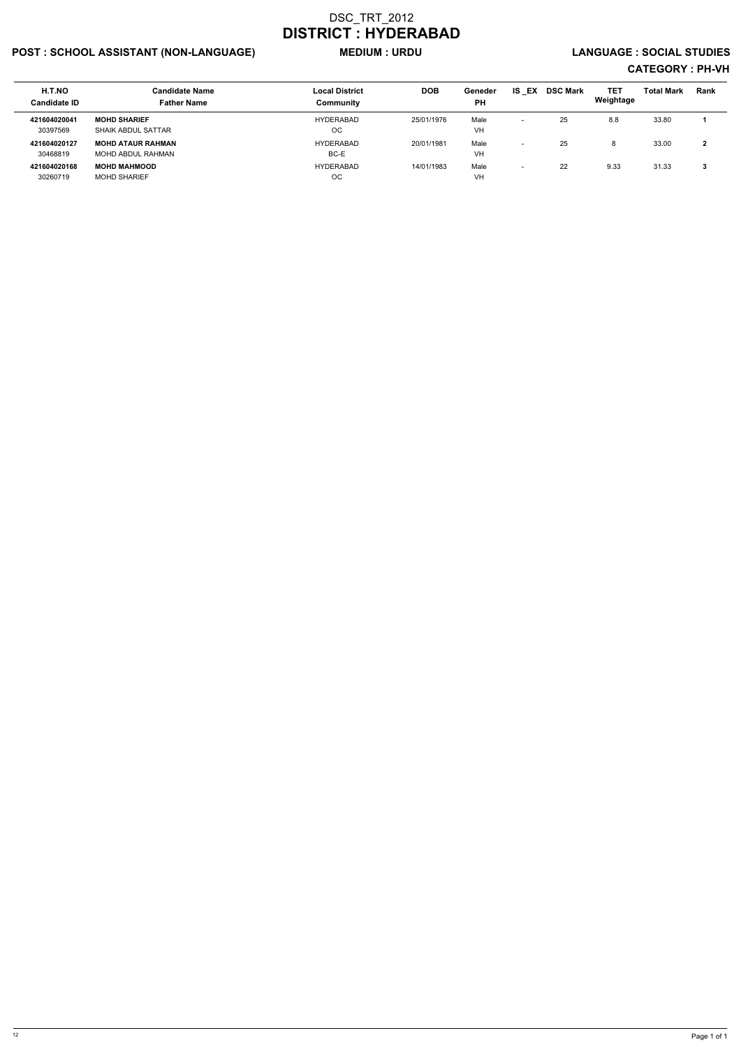### POST : SCHOOL ASSISTANT (NON-LANGUAGE) MEDIUM : URDU LANGUAGE : SOCIAL STUDIES

| <b>H.T.NO</b><br><b>Candidate ID</b> | <b>Candidate Name</b><br><b>Father Name</b>    | <b>Local District</b><br>Community | <b>DOB</b> | Geneder<br><b>PH</b> | IS.<br>EX                | <b>DSC Mark</b> | TET<br>Weightage | <b>Total Mark</b> | Rank |
|--------------------------------------|------------------------------------------------|------------------------------------|------------|----------------------|--------------------------|-----------------|------------------|-------------------|------|
| 421604020041<br>30397569             | <b>MOHD SHARIEF</b>                            | HYDERABAD<br>ОC                    | 25/01/1976 | Male                 | $\overline{\phantom{0}}$ | 25              | 8.8              | 33.80             |      |
| 421604020127                         | SHAIK ABDUL SATTAR<br><b>MOHD ATAUR RAHMAN</b> | <b>HYDERABAD</b>                   | 20/01/1981 | VH<br>Male           | $\overline{\phantom{0}}$ | 25              |                  | 33.00             | 2    |
| 30468819                             | MOHD ABDUL RAHMAN                              | BC-E                               |            | VH                   |                          |                 |                  |                   |      |
| 421604020168                         | <b>MOHD MAHMOOD</b>                            | <b>HYDERABAD</b>                   | 14/01/1983 | Male                 | $\overline{\phantom{0}}$ | 22              | 9.33             | 31.33             | 3    |
| 30260719                             | <b>MOHD SHARIEF</b>                            | ОC                                 |            | VH                   |                          |                 |                  |                   |      |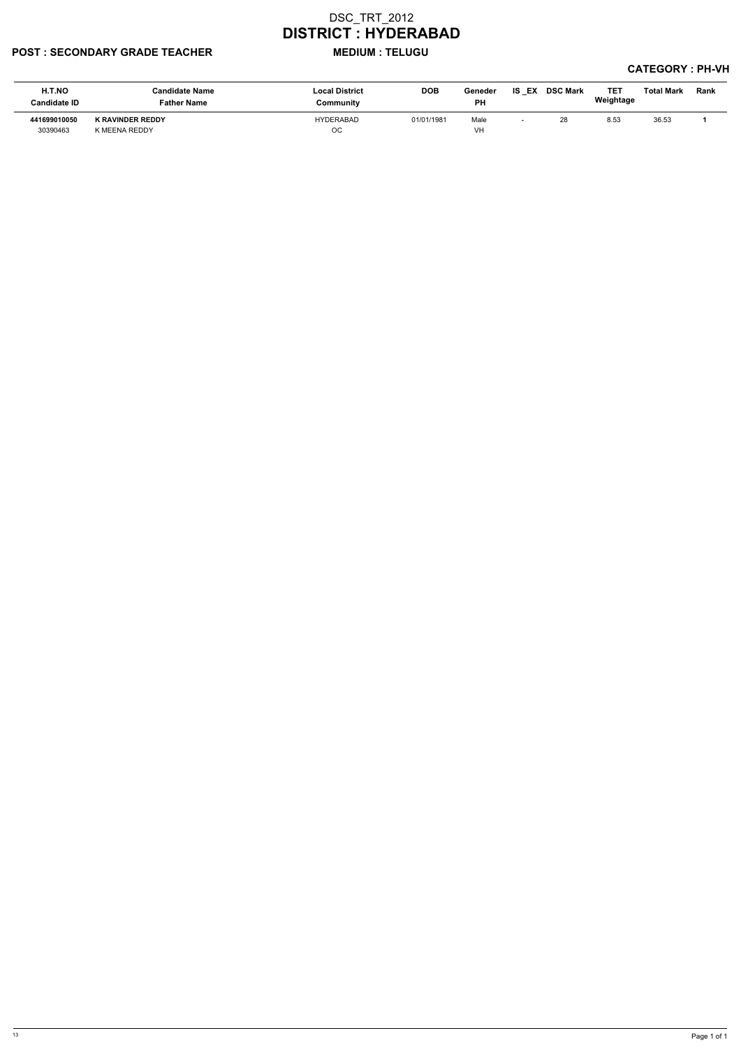#### POST : SECONDARY GRADE TEACHER MEDIUM : TELUGU

| <b>H.T.NO</b><br><b>Candidate ID</b> | <b>Candidate Name</b><br><b>Father Name</b> | <b>Local District</b><br>Community | <b>DOB</b> | Geneder<br><b>PH</b> | EX<br>IS | <b>DSC Mark</b> | <b>TE1</b><br>Weightage | <b>Total Mark</b> | Rank |
|--------------------------------------|---------------------------------------------|------------------------------------|------------|----------------------|----------|-----------------|-------------------------|-------------------|------|
| 441699010050<br>30390463             | K RAVINDER REDDY<br>K MEENA REDDY           | HYDERABAD<br>ОC                    | 01/01/1981 | Male<br>VH           |          | 28              | 8.53                    | 36.53             |      |